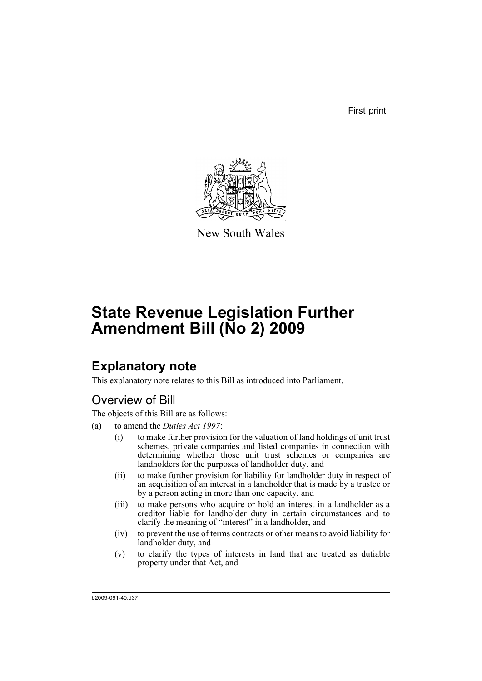First print



New South Wales

# **State Revenue Legislation Further Amendment Bill (No 2) 2009**

## **Explanatory note**

This explanatory note relates to this Bill as introduced into Parliament.

## Overview of Bill

The objects of this Bill are as follows:

- (a) to amend the *Duties Act 1997*:
	- (i) to make further provision for the valuation of land holdings of unit trust schemes, private companies and listed companies in connection with determining whether those unit trust schemes or companies are landholders for the purposes of landholder duty, and
	- (ii) to make further provision for liability for landholder duty in respect of an acquisition of an interest in a landholder that is made by a trustee or by a person acting in more than one capacity, and
	- (iii) to make persons who acquire or hold an interest in a landholder as a creditor liable for landholder duty in certain circumstances and to clarify the meaning of "interest" in a landholder, and
	- (iv) to prevent the use of terms contracts or other means to avoid liability for landholder duty, and
	- (v) to clarify the types of interests in land that are treated as dutiable property under that Act, and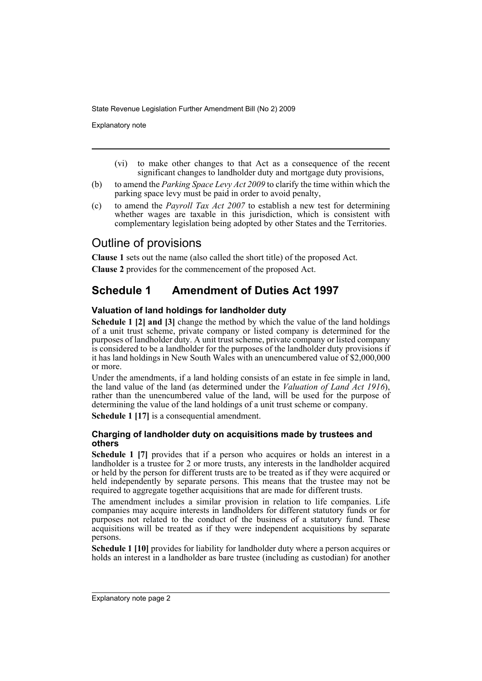Explanatory note

- (vi) to make other changes to that Act as a consequence of the recent significant changes to landholder duty and mortgage duty provisions,
- (b) to amend the *Parking Space Levy Act 2009* to clarify the time within which the parking space levy must be paid in order to avoid penalty,
- (c) to amend the *Payroll Tax Act 2007* to establish a new test for determining whether wages are taxable in this jurisdiction, which is consistent with complementary legislation being adopted by other States and the Territories.

## Outline of provisions

**Clause 1** sets out the name (also called the short title) of the proposed Act.

**Clause 2** provides for the commencement of the proposed Act.

## **Schedule 1 Amendment of Duties Act 1997**

#### **Valuation of land holdings for landholder duty**

**Schedule 1 [2] and [3]** change the method by which the value of the land holdings of a unit trust scheme, private company or listed company is determined for the purposes of landholder duty. A unit trust scheme, private company or listed company is considered to be a landholder for the purposes of the landholder duty provisions if it has land holdings in New South Wales with an unencumbered value of \$2,000,000 or more.

Under the amendments, if a land holding consists of an estate in fee simple in land, the land value of the land (as determined under the *Valuation of Land Act 1916*), rather than the unencumbered value of the land, will be used for the purpose of determining the value of the land holdings of a unit trust scheme or company.

**Schedule 1 [17]** is a consequential amendment.

#### **Charging of landholder duty on acquisitions made by trustees and others**

**Schedule 1 [7]** provides that if a person who acquires or holds an interest in a landholder is a trustee for 2 or more trusts, any interests in the landholder acquired or held by the person for different trusts are to be treated as if they were acquired or held independently by separate persons. This means that the trustee may not be required to aggregate together acquisitions that are made for different trusts.

The amendment includes a similar provision in relation to life companies. Life companies may acquire interests in landholders for different statutory funds or for purposes not related to the conduct of the business of a statutory fund. These acquisitions will be treated as if they were independent acquisitions by separate persons.

**Schedule 1 [10]** provides for liability for landholder duty where a person acquires or holds an interest in a landholder as bare trustee (including as custodian) for another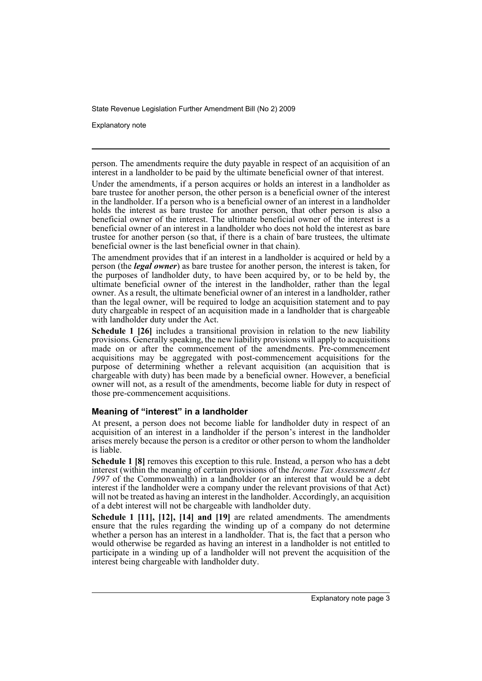Explanatory note

person. The amendments require the duty payable in respect of an acquisition of an interest in a landholder to be paid by the ultimate beneficial owner of that interest.

Under the amendments, if a person acquires or holds an interest in a landholder as bare trustee for another person, the other person is a beneficial owner of the interest in the landholder. If a person who is a beneficial owner of an interest in a landholder holds the interest as bare trustee for another person, that other person is also a beneficial owner of the interest. The ultimate beneficial owner of the interest is a beneficial owner of an interest in a landholder who does not hold the interest as bare trustee for another person (so that, if there is a chain of bare trustees, the ultimate beneficial owner is the last beneficial owner in that chain).

The amendment provides that if an interest in a landholder is acquired or held by a person (the *legal owner*) as bare trustee for another person, the interest is taken, for the purposes of landholder duty, to have been acquired by, or to be held by, the ultimate beneficial owner of the interest in the landholder, rather than the legal owner. As a result, the ultimate beneficial owner of an interest in a landholder, rather than the legal owner, will be required to lodge an acquisition statement and to pay duty chargeable in respect of an acquisition made in a landholder that is chargeable with landholder duty under the Act.

**Schedule 1 [26]** includes a transitional provision in relation to the new liability provisions. Generally speaking, the new liability provisions will apply to acquisitions made on or after the commencement of the amendments. Pre-commencement acquisitions may be aggregated with post-commencement acquisitions for the purpose of determining whether a relevant acquisition (an acquisition that is chargeable with duty) has been made by a beneficial owner. However, a beneficial owner will not, as a result of the amendments, become liable for duty in respect of those pre-commencement acquisitions.

#### **Meaning of "interest" in a landholder**

At present, a person does not become liable for landholder duty in respect of an acquisition of an interest in a landholder if the person's interest in the landholder arises merely because the person is a creditor or other person to whom the landholder is liable.

**Schedule 1 [8]** removes this exception to this rule. Instead, a person who has a debt interest (within the meaning of certain provisions of the *Income Tax Assessment Act 1997* of the Commonwealth) in a landholder (or an interest that would be a debt interest if the landholder were a company under the relevant provisions of that Act) will not be treated as having an interest in the landholder. Accordingly, an acquisition of a debt interest will not be chargeable with landholder duty.

**Schedule 1 [11], [12], [14] and [19]** are related amendments. The amendments ensure that the rules regarding the winding up of a company do not determine whether a person has an interest in a landholder. That is, the fact that a person who would otherwise be regarded as having an interest in a landholder is not entitled to participate in a winding up of a landholder will not prevent the acquisition of the interest being chargeable with landholder duty.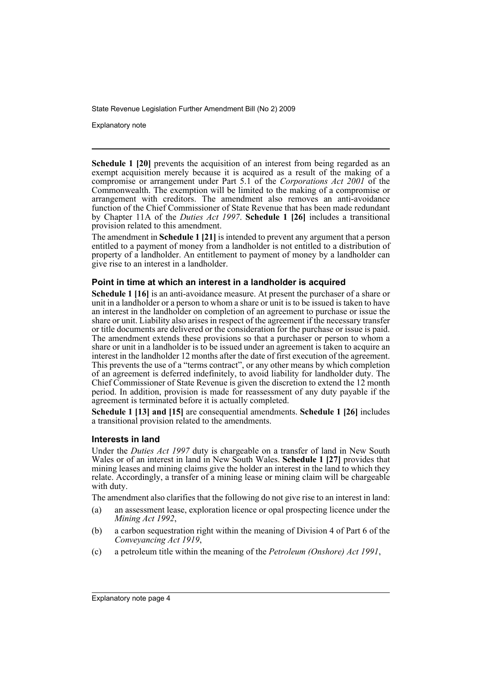Explanatory note

**Schedule 1 [20]** prevents the acquisition of an interest from being regarded as an exempt acquisition merely because it is acquired as a result of the making of a compromise or arrangement under Part 5.1 of the *Corporations Act 2001* of the Commonwealth. The exemption will be limited to the making of a compromise or arrangement with creditors. The amendment also removes an anti-avoidance function of the Chief Commissioner of State Revenue that has been made redundant by Chapter 11A of the *Duties Act 1997*. **Schedule 1 [26]** includes a transitional provision related to this amendment.

The amendment in **Schedule 1 [21]** is intended to prevent any argument that a person entitled to a payment of money from a landholder is not entitled to a distribution of property of a landholder. An entitlement to payment of money by a landholder can give rise to an interest in a landholder.

#### **Point in time at which an interest in a landholder is acquired**

**Schedule 1 [16]** is an anti-avoidance measure. At present the purchaser of a share or unit in a landholder or a person to whom a share or unit is to be issued is taken to have an interest in the landholder on completion of an agreement to purchase or issue the share or unit. Liability also arises in respect of the agreement if the necessary transfer or title documents are delivered or the consideration for the purchase or issue is paid. The amendment extends these provisions so that a purchaser or person to whom a share or unit in a landholder is to be issued under an agreement is taken to acquire an interest in the landholder 12 months after the date of first execution of the agreement. This prevents the use of a "terms contract", or any other means by which completion of an agreement is deferred indefinitely, to avoid liability for landholder duty. The Chief Commissioner of State Revenue is given the discretion to extend the 12 month period. In addition, provision is made for reassessment of any duty payable if the agreement is terminated before it is actually completed.

**Schedule 1 [13] and [15]** are consequential amendments. **Schedule 1 [26]** includes a transitional provision related to the amendments.

#### **Interests in land**

Under the *Duties Act 1997* duty is chargeable on a transfer of land in New South Wales or of an interest in land in New South Wales. **Schedule 1 [27]** provides that mining leases and mining claims give the holder an interest in the land to which they relate. Accordingly, a transfer of a mining lease or mining claim will be chargeable with duty.

The amendment also clarifies that the following do not give rise to an interest in land:

- (a) an assessment lease, exploration licence or opal prospecting licence under the *Mining Act 1992*,
- (b) a carbon sequestration right within the meaning of Division 4 of Part 6 of the *Conveyancing Act 1919*,
- (c) a petroleum title within the meaning of the *Petroleum (Onshore) Act 1991*,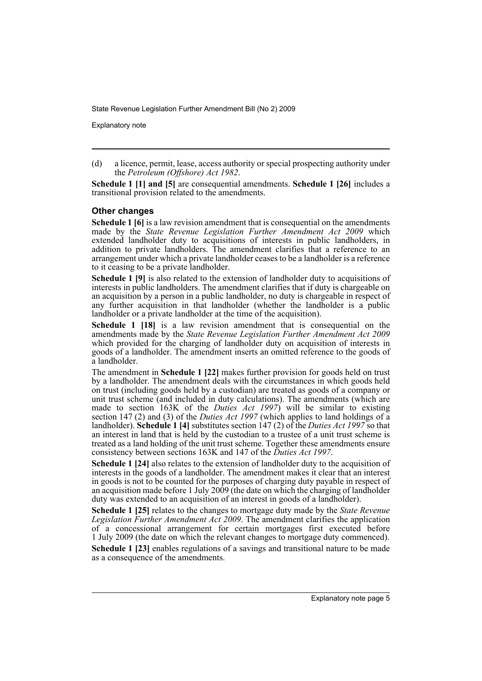Explanatory note

**Schedule 1 [1] and [5]** are consequential amendments. **Schedule 1 [26]** includes a transitional provision related to the amendments.

#### **Other changes**

**Schedule 1 [6]** is a law revision amendment that is consequential on the amendments made by the *State Revenue Legislation Further Amendment Act 2009* which extended landholder duty to acquisitions of interests in public landholders, in addition to private landholders. The amendment clarifies that a reference to an arrangement under which a private landholder ceases to be a landholder is a reference to it ceasing to be a private landholder.

**Schedule 1 [9]** is also related to the extension of landholder duty to acquisitions of interests in public landholders. The amendment clarifies that if duty is chargeable on an acquisition by a person in a public landholder, no duty is chargeable in respect of any further acquisition in that landholder (whether the landholder is a public landholder or a private landholder at the time of the acquisition).

**Schedule 1 [18]** is a law revision amendment that is consequential on the amendments made by the *State Revenue Legislation Further Amendment Act 2009* which provided for the charging of landholder duty on acquisition of interests in goods of a landholder. The amendment inserts an omitted reference to the goods of a landholder.

The amendment in **Schedule 1 [22]** makes further provision for goods held on trust by a landholder. The amendment deals with the circumstances in which goods held on trust (including goods held by a custodian) are treated as goods of a company or unit trust scheme (and included in duty calculations). The amendments (which are made to section 163K of the *Duties Act 1997*) will be similar to existing section 147 (2) and (3) of the *Duties Act 1997* (which applies to land holdings of a landholder). **Schedule 1 [4]** substitutes section 147 (2) of the *Duties Act 1997* so that an interest in land that is held by the custodian to a trustee of a unit trust scheme is treated as a land holding of the unit trust scheme. Together these amendments ensure consistency between sections 163K and 147 of the *Duties Act 1997*.

**Schedule 1 [24]** also relates to the extension of landholder duty to the acquisition of interests in the goods of a landholder. The amendment makes it clear that an interest in goods is not to be counted for the purposes of charging duty payable in respect of an acquisition made before 1 July 2009 (the date on which the charging of landholder duty was extended to an acquisition of an interest in goods of a landholder).

**Schedule 1 [25]** relates to the changes to mortgage duty made by the *State Revenue Legislation Further Amendment Act 2009*. The amendment clarifies the application of a concessional arrangement for certain mortgages first executed before 1 July 2009 (the date on which the relevant changes to mortgage duty commenced). **Schedule 1 [23]** enables regulations of a savings and transitional nature to be made as a consequence of the amendments.

<sup>(</sup>d) a licence, permit, lease, access authority or special prospecting authority under the *Petroleum (Offshore) Act 1982*.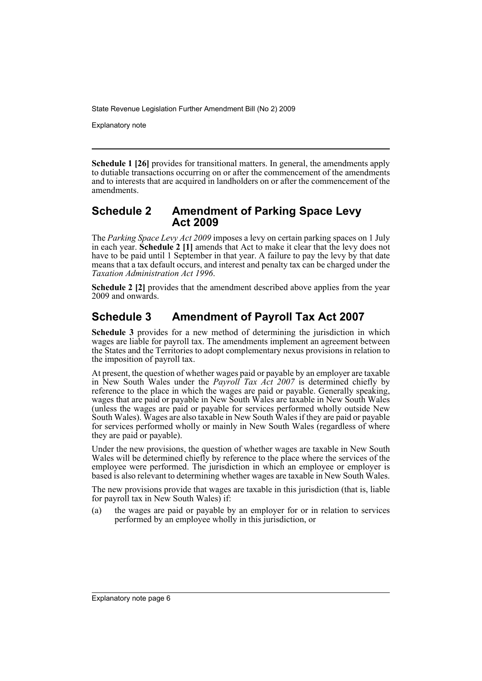Explanatory note

**Schedule 1 [26]** provides for transitional matters. In general, the amendments apply to dutiable transactions occurring on or after the commencement of the amendments and to interests that are acquired in landholders on or after the commencement of the amendments.

### **Schedule 2 Amendment of Parking Space Levy Act 2009**

The *Parking Space Levy Act 2009* imposes a levy on certain parking spaces on 1 July in each year. **Schedule 2 [1]** amends that Act to make it clear that the levy does not have to be paid until 1 September in that year. A failure to pay the levy by that date means that a tax default occurs, and interest and penalty tax can be charged under the *Taxation Administration Act 1996*.

**Schedule 2 [2]** provides that the amendment described above applies from the year 2009 and onwards.

## **Schedule 3 Amendment of Payroll Tax Act 2007**

**Schedule 3** provides for a new method of determining the jurisdiction in which wages are liable for payroll tax. The amendments implement an agreement between the States and the Territories to adopt complementary nexus provisions in relation to the imposition of payroll tax.

At present, the question of whether wages paid or payable by an employer are taxable in New South Wales under the *Payroll Tax Act 2007* is determined chiefly by reference to the place in which the wages are paid or payable. Generally speaking, wages that are paid or payable in New South Wales are taxable in New South Wales (unless the wages are paid or payable for services performed wholly outside New South Wales). Wages are also taxable in New South Wales if they are paid or payable for services performed wholly or mainly in New South Wales (regardless of where they are paid or payable).

Under the new provisions, the question of whether wages are taxable in New South Wales will be determined chiefly by reference to the place where the services of the employee were performed. The jurisdiction in which an employee or employer is based is also relevant to determining whether wages are taxable in New South Wales.

The new provisions provide that wages are taxable in this jurisdiction (that is, liable for payroll tax in New South Wales) if:

(a) the wages are paid or payable by an employer for or in relation to services performed by an employee wholly in this jurisdiction, or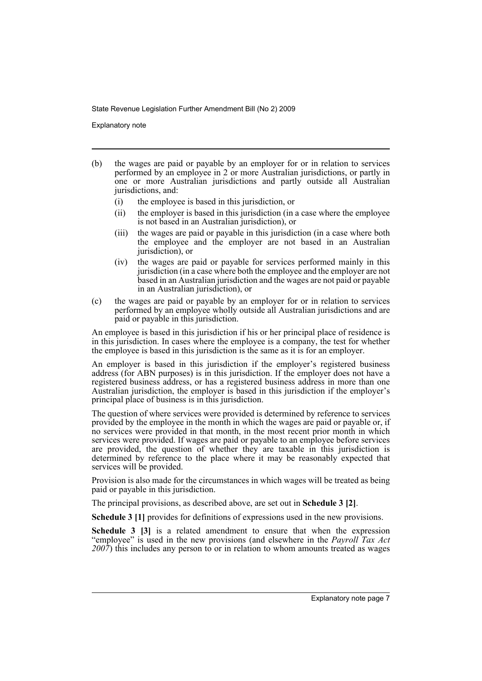Explanatory note

- (b) the wages are paid or payable by an employer for or in relation to services performed by an employee in 2 or more Australian jurisdictions, or partly in one or more Australian jurisdictions and partly outside all Australian jurisdictions, and:
	- (i) the employee is based in this jurisdiction, or
	- (ii) the employer is based in this jurisdiction (in a case where the employee is not based in an Australian jurisdiction), or
	- (iii) the wages are paid or payable in this jurisdiction (in a case where both the employee and the employer are not based in an Australian jurisdiction), or
	- (iv) the wages are paid or payable for services performed mainly in this jurisdiction (in a case where both the employee and the employer are not based in an Australian jurisdiction and the wages are not paid or payable in an Australian jurisdiction), or
- (c) the wages are paid or payable by an employer for or in relation to services performed by an employee wholly outside all Australian jurisdictions and are paid or payable in this jurisdiction.

An employee is based in this jurisdiction if his or her principal place of residence is in this jurisdiction. In cases where the employee is a company, the test for whether the employee is based in this jurisdiction is the same as it is for an employer.

An employer is based in this jurisdiction if the employer's registered business address (for ABN purposes) is in this jurisdiction. If the employer does not have a registered business address, or has a registered business address in more than one Australian jurisdiction, the employer is based in this jurisdiction if the employer's principal place of business is in this jurisdiction.

The question of where services were provided is determined by reference to services provided by the employee in the month in which the wages are paid or payable or, if no services were provided in that month, in the most recent prior month in which services were provided. If wages are paid or payable to an employee before services are provided, the question of whether they are taxable in this jurisdiction is determined by reference to the place where it may be reasonably expected that services will be provided.

Provision is also made for the circumstances in which wages will be treated as being paid or payable in this jurisdiction.

The principal provisions, as described above, are set out in **Schedule 3 [2]**.

**Schedule 3 [1]** provides for definitions of expressions used in the new provisions.

**Schedule 3 [3]** is a related amendment to ensure that when the expression "employee" is used in the new provisions (and elsewhere in the *Payroll Tax Act 2007*) this includes any person to or in relation to whom amounts treated as wages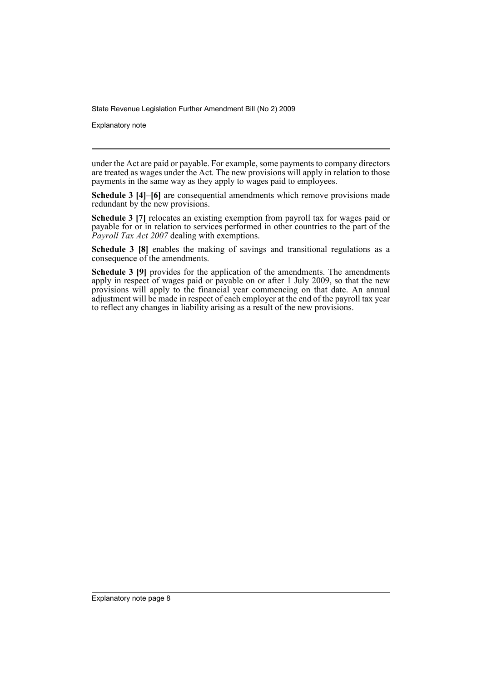Explanatory note

under the Act are paid or payable. For example, some payments to company directors are treated as wages under the Act. The new provisions will apply in relation to those payments in the same way as they apply to wages paid to employees.

**Schedule 3 [4]–[6]** are consequential amendments which remove provisions made redundant by the new provisions.

**Schedule 3 [7]** relocates an existing exemption from payroll tax for wages paid or payable for or in relation to services performed in other countries to the part of the *Payroll Tax Act 2007* dealing with exemptions.

**Schedule 3 [8]** enables the making of savings and transitional regulations as a consequence of the amendments.

**Schedule 3 [9]** provides for the application of the amendments. The amendments apply in respect of wages paid or payable on or after 1 July 2009, so that the new provisions will apply to the financial year commencing on that date. An annual adjustment will be made in respect of each employer at the end of the payroll tax year to reflect any changes in liability arising as a result of the new provisions.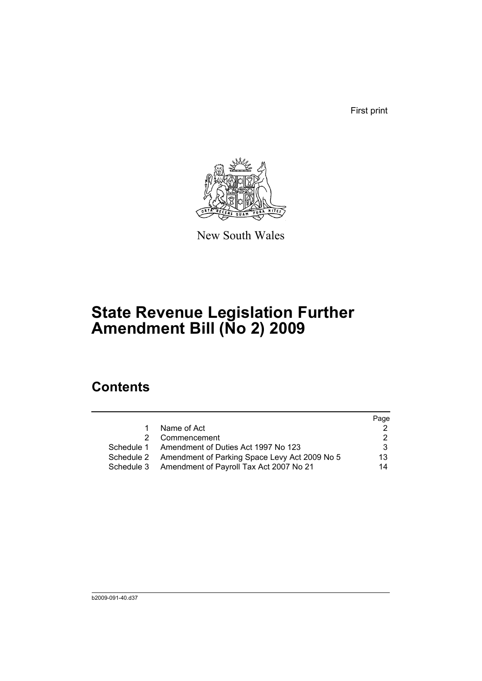First print



New South Wales

# **State Revenue Legislation Further Amendment Bill (No 2) 2009**

## **Contents**

|   |                                                          | Page |
|---|----------------------------------------------------------|------|
| 1 | Name of Act                                              |      |
|   | 2 Commencement                                           |      |
|   | Schedule 1 Amendment of Duties Act 1997 No 123           | 3    |
|   | Schedule 2 Amendment of Parking Space Levy Act 2009 No 5 | 13   |
|   | Schedule 3 Amendment of Payroll Tax Act 2007 No 21       | 14   |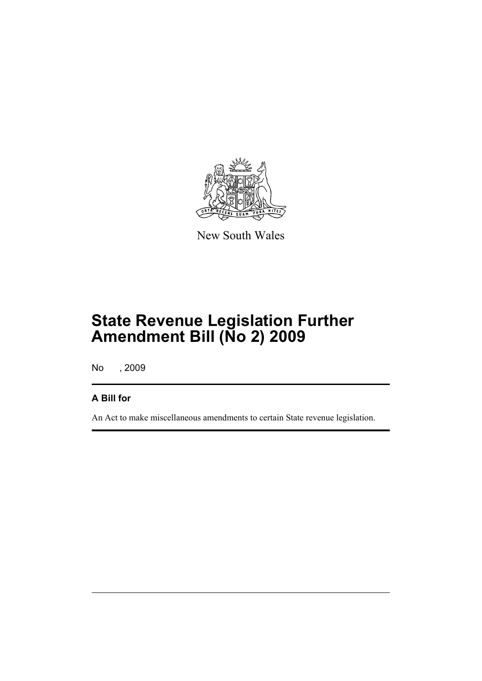

New South Wales

# **State Revenue Legislation Further Amendment Bill (No 2) 2009**

No , 2009

## **A Bill for**

An Act to make miscellaneous amendments to certain State revenue legislation.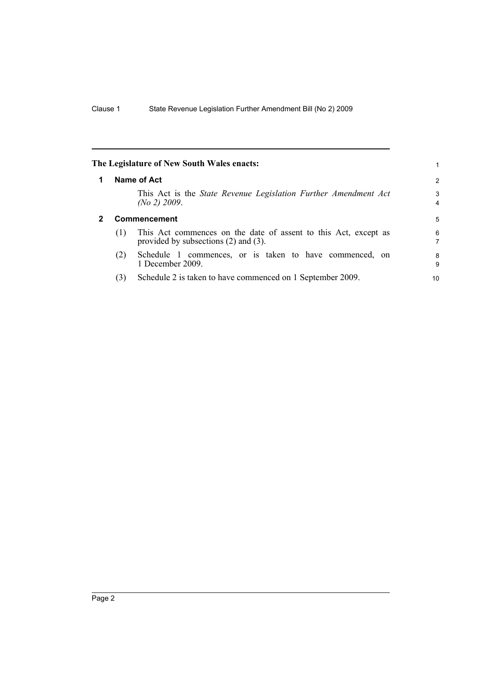<span id="page-11-1"></span><span id="page-11-0"></span>

|   |     | The Legislature of New South Wales enacts:                                                                   |        |
|---|-----|--------------------------------------------------------------------------------------------------------------|--------|
|   |     | Name of Act                                                                                                  | 2      |
|   |     | This Act is the State Revenue Legislation Further Amendment Act<br>(No 2) 2009.                              | 3<br>4 |
| 2 |     | <b>Commencement</b>                                                                                          | 5      |
|   | (1) | This Act commences on the date of assent to this Act, except as<br>provided by subsections $(2)$ and $(3)$ . | 6<br>7 |
|   | (2) | Schedule 1 commences, or is taken to have commenced, on<br>1 December 2009.                                  | 8<br>9 |
|   | (3) | Schedule 2 is taken to have commenced on 1 September 2009.                                                   | 10     |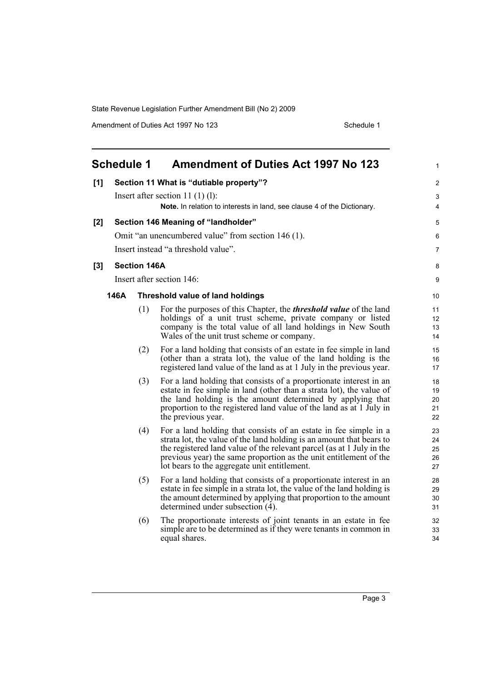Amendment of Duties Act 1997 No 123 Schedule 1

<span id="page-12-0"></span>

| <b>Schedule 1</b><br><b>Amendment of Duties Act 1997 No 123</b> |                                         |                     |                                                                                                                                                                                                                                                                                                                                        |                            |
|-----------------------------------------------------------------|-----------------------------------------|---------------------|----------------------------------------------------------------------------------------------------------------------------------------------------------------------------------------------------------------------------------------------------------------------------------------------------------------------------------------|----------------------------|
| [1]                                                             | Section 11 What is "dutiable property"? |                     |                                                                                                                                                                                                                                                                                                                                        | $\overline{\mathbf{c}}$    |
|                                                                 |                                         |                     | Insert after section 11 $(1)(1)$ :                                                                                                                                                                                                                                                                                                     | 3                          |
|                                                                 |                                         |                     | <b>Note.</b> In relation to interests in land, see clause 4 of the Dictionary.                                                                                                                                                                                                                                                         | 4                          |
| [2]                                                             |                                         |                     | Section 146 Meaning of "landholder"                                                                                                                                                                                                                                                                                                    | 5                          |
|                                                                 |                                         |                     | Omit "an unencumbered value" from section 146 (1).                                                                                                                                                                                                                                                                                     | 6                          |
|                                                                 |                                         |                     | Insert instead "a threshold value".                                                                                                                                                                                                                                                                                                    | 7                          |
| [3]                                                             |                                         | <b>Section 146A</b> |                                                                                                                                                                                                                                                                                                                                        | 8                          |
|                                                                 |                                         |                     | Insert after section 146:                                                                                                                                                                                                                                                                                                              | 9                          |
|                                                                 | 146A                                    |                     | <b>Threshold value of land holdings</b>                                                                                                                                                                                                                                                                                                | 10                         |
|                                                                 |                                         | (1)                 | For the purposes of this Chapter, the <i>threshold value</i> of the land<br>holdings of a unit trust scheme, private company or listed<br>company is the total value of all land holdings in New South<br>Wales of the unit trust scheme or company.                                                                                   | 11<br>12<br>13<br>14       |
|                                                                 |                                         | (2)                 | For a land holding that consists of an estate in fee simple in land<br>(other than a strata lot), the value of the land holding is the<br>registered land value of the land as at 1 July in the previous year.                                                                                                                         | 15<br>16<br>17             |
|                                                                 |                                         | (3)                 | For a land holding that consists of a proportionate interest in an<br>estate in fee simple in land (other than a strata lot), the value of<br>the land holding is the amount determined by applying that<br>proportion to the registered land value of the land as at 1 July in<br>the previous year.                                  | 18<br>19<br>20<br>21<br>22 |
|                                                                 |                                         | (4)                 | For a land holding that consists of an estate in fee simple in a<br>strata lot, the value of the land holding is an amount that bears to<br>the registered land value of the relevant parcel (as at 1 July in the<br>previous year) the same proportion as the unit entitlement of the<br>lot bears to the aggregate unit entitlement. | 23<br>24<br>25<br>26<br>27 |
|                                                                 |                                         | (5)                 | For a land holding that consists of a proportionate interest in an<br>estate in fee simple in a strata lot, the value of the land holding is<br>the amount determined by applying that proportion to the amount<br>determined under subsection $(4)$ .                                                                                 | 28<br>29<br>30<br>31       |
|                                                                 |                                         | (6)                 | The proportionate interests of joint tenants in an estate in fee<br>simple are to be determined as if they were tenants in common in<br>equal shares.                                                                                                                                                                                  | 32<br>33<br>34             |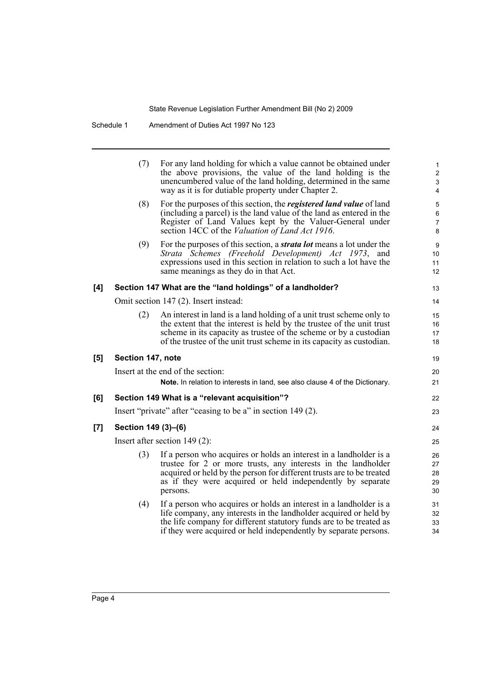|     | (7)                 | For any land holding for which a value cannot be obtained under<br>the above provisions, the value of the land holding is the<br>unencumbered value of the land holding, determined in the same<br>way as it is for dutiable property under Chapter 2.                                      | $\mathbf{1}$<br>$\boldsymbol{2}$<br>3<br>4 |
|-----|---------------------|---------------------------------------------------------------------------------------------------------------------------------------------------------------------------------------------------------------------------------------------------------------------------------------------|--------------------------------------------|
|     | (8)                 | For the purposes of this section, the <i>registered land value</i> of land<br>(including a parcel) is the land value of the land as entered in the<br>Register of Land Values kept by the Valuer-General under<br>section 14CC of the <i>Valuation of Land Act 1916</i> .                   | 5<br>$\,6\,$<br>$\overline{7}$<br>8        |
|     | (9)                 | For the purposes of this section, a <i>strata lot</i> means a lot under the<br>Strata Schemes (Freehold Development) Act 1973, and<br>expressions used in this section in relation to such a lot have the<br>same meanings as they do in that Act.                                          | 9<br>10<br>11<br>12                        |
| [4] |                     | Section 147 What are the "land holdings" of a landholder?                                                                                                                                                                                                                                   | 13                                         |
|     |                     | Omit section 147 (2). Insert instead:                                                                                                                                                                                                                                                       | 14                                         |
|     | (2)                 | An interest in land is a land holding of a unit trust scheme only to<br>the extent that the interest is held by the trustee of the unit trust<br>scheme in its capacity as trustee of the scheme or by a custodian<br>of the trustee of the unit trust scheme in its capacity as custodian. | 15<br>16<br>17<br>18                       |
| [5] | Section 147, note   |                                                                                                                                                                                                                                                                                             | 19                                         |
|     |                     | Insert at the end of the section:                                                                                                                                                                                                                                                           | 20                                         |
|     |                     | Note. In relation to interests in land, see also clause 4 of the Dictionary.                                                                                                                                                                                                                | 21                                         |
| [6] |                     | Section 149 What is a "relevant acquisition"?                                                                                                                                                                                                                                               | 22                                         |
|     |                     | Insert "private" after "ceasing to be a" in section 149 (2).                                                                                                                                                                                                                                | 23                                         |
| [7] | Section 149 (3)-(6) |                                                                                                                                                                                                                                                                                             | 24                                         |
|     |                     | Insert after section $149(2)$ :                                                                                                                                                                                                                                                             | 25                                         |
|     | (3)                 | If a person who acquires or holds an interest in a landholder is a<br>trustee for 2 or more trusts, any interests in the landholder<br>acquired or held by the person for different trusts are to be treated<br>as if they were acquired or held independently by separate<br>persons.      | 26<br>27<br>28<br>29<br>30                 |
|     | (4)                 | If a person who acquires or holds an interest in a landholder is a<br>life company, any interests in the landholder acquired or held by<br>the life company for different statutory funds are to be treated as<br>if they were acquired or held independently by separate persons.          | 31<br>32<br>33<br>34                       |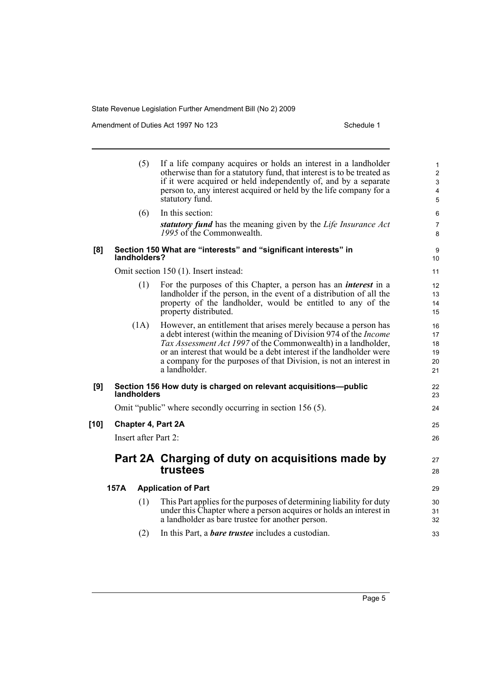Amendment of Duties Act 1997 No 123 Schedule 1

|        |      | (5)                  | If a life company acquires or holds an interest in a landholder<br>otherwise than for a statutory fund, that interest is to be treated as<br>if it were acquired or held independently of, and by a separate<br>person to, any interest acquired or held by the life company for a<br>statutory fund.                                                                      | $\mathbf{1}$<br>$\overline{c}$<br>$\mathsf 3$<br>$\overline{\mathbf{4}}$<br>$\mathbf 5$ |
|--------|------|----------------------|----------------------------------------------------------------------------------------------------------------------------------------------------------------------------------------------------------------------------------------------------------------------------------------------------------------------------------------------------------------------------|-----------------------------------------------------------------------------------------|
|        |      | (6)                  | In this section:                                                                                                                                                                                                                                                                                                                                                           | 6                                                                                       |
|        |      |                      | statutory fund has the meaning given by the Life Insurance Act<br>1995 of the Commonwealth.                                                                                                                                                                                                                                                                                | $\overline{7}$<br>8                                                                     |
| [8]    |      | landholders?         | Section 150 What are "interests" and "significant interests" in                                                                                                                                                                                                                                                                                                            | 9<br>10                                                                                 |
|        |      |                      | Omit section 150 (1). Insert instead:                                                                                                                                                                                                                                                                                                                                      | 11                                                                                      |
|        |      | (1)                  | For the purposes of this Chapter, a person has an <i>interest</i> in a<br>landholder if the person, in the event of a distribution of all the<br>property of the landholder, would be entitled to any of the<br>property distributed.                                                                                                                                      | 12<br>13<br>14<br>15                                                                    |
|        |      | (1A)                 | However, an entitlement that arises merely because a person has<br>a debt interest (within the meaning of Division 974 of the <i>Income</i><br>Tax Assessment Act 1997 of the Commonwealth) in a landholder,<br>or an interest that would be a debt interest if the landholder were<br>a company for the purposes of that Division, is not an interest in<br>a landholder. | 16<br>17<br>18<br>19<br>20<br>21                                                        |
| [9]    |      | landholders          | Section 156 How duty is charged on relevant acquisitions-public                                                                                                                                                                                                                                                                                                            | 22<br>23                                                                                |
|        |      |                      | Omit "public" where secondly occurring in section 156 (5).                                                                                                                                                                                                                                                                                                                 | 24                                                                                      |
| $[10]$ |      |                      | <b>Chapter 4, Part 2A</b>                                                                                                                                                                                                                                                                                                                                                  | 25                                                                                      |
|        |      | Insert after Part 2: |                                                                                                                                                                                                                                                                                                                                                                            | 26                                                                                      |
|        |      |                      | Part 2A Charging of duty on acquisitions made by<br>trustees                                                                                                                                                                                                                                                                                                               | 27<br>28                                                                                |
|        | 157A |                      | <b>Application of Part</b>                                                                                                                                                                                                                                                                                                                                                 | 29                                                                                      |
|        |      | (1)                  | This Part applies for the purposes of determining liability for duty<br>under this Chapter where a person acquires or holds an interest in<br>a landholder as bare trustee for another person.                                                                                                                                                                             | 30<br>31<br>32                                                                          |
|        |      | (2)                  | In this Part, a <b><i>bare trustee</i></b> includes a custodian.                                                                                                                                                                                                                                                                                                           | 33                                                                                      |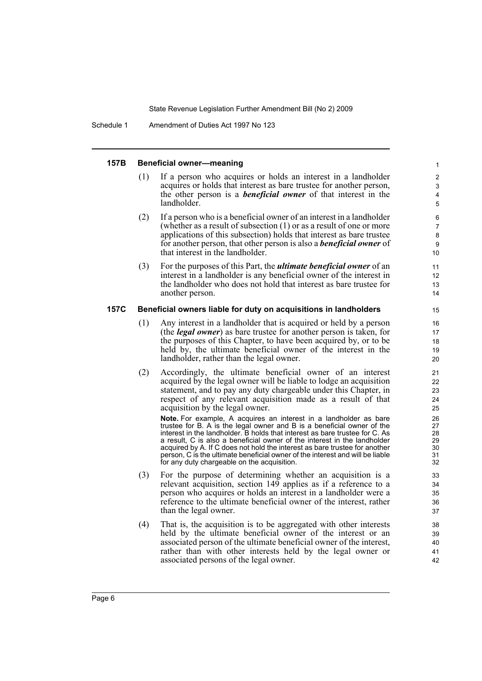Schedule 1 Amendment of Duties Act 1997 No 123

#### **157B Beneficial owner—meaning**

- (1) If a person who acquires or holds an interest in a landholder acquires or holds that interest as bare trustee for another person, the other person is a *beneficial owner* of that interest in the landholder.
- (2) If a person who is a beneficial owner of an interest in a landholder (whether as a result of subsection (1) or as a result of one or more applications of this subsection) holds that interest as bare trustee for another person, that other person is also a *beneficial owner* of that interest in the landholder.
- (3) For the purposes of this Part, the *ultimate beneficial owner* of an interest in a landholder is any beneficial owner of the interest in the landholder who does not hold that interest as bare trustee for another person.

#### **157C Beneficial owners liable for duty on acquisitions in landholders**

- (1) Any interest in a landholder that is acquired or held by a person (the *legal owner*) as bare trustee for another person is taken, for the purposes of this Chapter, to have been acquired by, or to be held by, the ultimate beneficial owner of the interest in the landholder, rather than the legal owner.
- (2) Accordingly, the ultimate beneficial owner of an interest acquired by the legal owner will be liable to lodge an acquisition statement, and to pay any duty chargeable under this Chapter, in respect of any relevant acquisition made as a result of that acquisition by the legal owner.

**Note.** For example, A acquires an interest in a landholder as bare trustee for B. A is the legal owner and B is a beneficial owner of the interest in the landholder. B holds that interest as bare trustee for C. As a result, C is also a beneficial owner of the interest in the landholder acquired by A. If C does not hold the interest as bare trustee for another person, C is the ultimate beneficial owner of the interest and will be liable for any duty chargeable on the acquisition.

- (3) For the purpose of determining whether an acquisition is a relevant acquisition, section 149 applies as if a reference to a person who acquires or holds an interest in a landholder were a reference to the ultimate beneficial owner of the interest, rather than the legal owner.
- (4) That is, the acquisition is to be aggregated with other interests held by the ultimate beneficial owner of the interest or an associated person of the ultimate beneficial owner of the interest, rather than with other interests held by the legal owner or associated persons of the legal owner.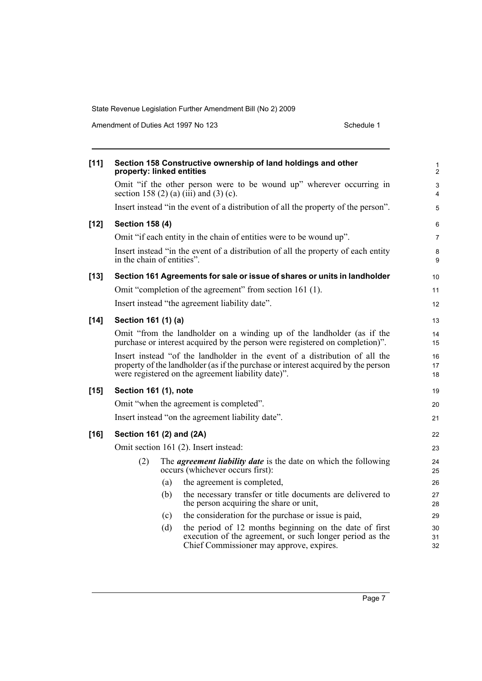Amendment of Duties Act 1997 No 123 Schedule 1

| $[11]$ | property: linked entities  |     | Section 158 Constructive ownership of land holdings and other                                                                                                                                                          | 1<br>$\overline{2}$ |
|--------|----------------------------|-----|------------------------------------------------------------------------------------------------------------------------------------------------------------------------------------------------------------------------|---------------------|
|        |                            |     | Omit "if the other person were to be wound up" wherever occurring in<br>section 158 (2) (a) (iii) and (3) (c).                                                                                                         | 3<br>4              |
|        |                            |     | Insert instead "in the event of a distribution of all the property of the person".                                                                                                                                     | 5                   |
| $[12]$ | <b>Section 158 (4)</b>     |     |                                                                                                                                                                                                                        | 6                   |
|        |                            |     | Omit "if each entity in the chain of entities were to be wound up".                                                                                                                                                    | $\overline{7}$      |
|        | in the chain of entities". |     | Insert instead "in the event of a distribution of all the property of each entity                                                                                                                                      | 8<br>9              |
| $[13]$ |                            |     | Section 161 Agreements for sale or issue of shares or units in landholder                                                                                                                                              | 10                  |
|        |                            |     | Omit "completion of the agreement" from section 161 (1).                                                                                                                                                               | 11                  |
|        |                            |     | Insert instead "the agreement liability date".                                                                                                                                                                         | 12                  |
| $[14]$ | Section 161 (1) (a)        |     |                                                                                                                                                                                                                        | 13                  |
|        |                            |     | Omit "from the landholder on a winding up of the landholder (as if the<br>purchase or interest acquired by the person were registered on completion)".                                                                 | 14<br>15            |
|        |                            |     | Insert instead "of the landholder in the event of a distribution of all the<br>property of the landholder (as if the purchase or interest acquired by the person<br>were registered on the agreement liability date)". | 16<br>17<br>18      |
| $[15]$ | Section 161 (1), note      |     |                                                                                                                                                                                                                        | 19                  |
|        |                            |     | Omit "when the agreement is completed".                                                                                                                                                                                | 20                  |
|        |                            |     | Insert instead "on the agreement liability date".                                                                                                                                                                      | 21                  |
| $[16]$ | Section 161 (2) and (2A)   |     |                                                                                                                                                                                                                        | 22                  |
|        |                            |     | Omit section 161 (2). Insert instead:                                                                                                                                                                                  | 23                  |
|        | (2)                        |     | The <i>agreement liability date</i> is the date on which the following<br>occurs (whichever occurs first):                                                                                                             | 24<br>25            |
|        |                            | (a) | the agreement is completed,                                                                                                                                                                                            | 26                  |
|        |                            | (b) | the necessary transfer or title documents are delivered to<br>the person acquiring the share or unit,                                                                                                                  | 27<br>28            |
|        |                            | (c) | the consideration for the purchase or issue is paid,                                                                                                                                                                   | 29                  |
|        |                            | (d) | the period of 12 months beginning on the date of first<br>execution of the agreement, or such longer period as the<br>Chief Commissioner may approve, expires.                                                         | 30<br>31<br>32      |
|        |                            |     |                                                                                                                                                                                                                        |                     |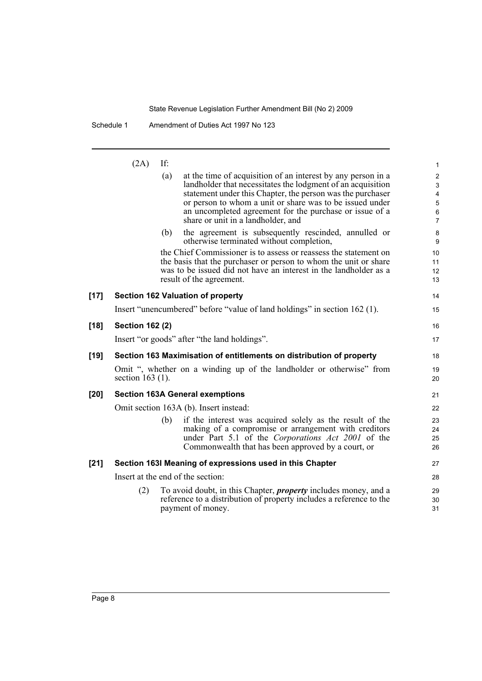Schedule 1 Amendment of Duties Act 1997 No 123

 $(2A)$  If: (a) at the time of acquisition of an interest by any person in a landholder that necessitates the lodgment of an acquisition statement under this Chapter, the person was the purchaser or person to whom a unit or share was to be issued under an uncompleted agreement for the purchase or issue of a share or unit in a landholder, and (b) the agreement is subsequently rescinded, annulled or otherwise terminated without completion, the Chief Commissioner is to assess or reassess the statement on the basis that the purchaser or person to whom the unit or share was to be issued did not have an interest in the landholder as a result of the agreement. **[17] Section 162 Valuation of property** Insert "unencumbered" before "value of land holdings" in section 162 (1). **[18] Section 162 (2)** Insert "or goods" after "the land holdings". **[19] Section 163 Maximisation of entitlements on distribution of property** Omit ", whether on a winding up of the landholder or otherwise" from section 163 (1). **[20] Section 163A General exemptions** Omit section 163A (b). Insert instead: (b) if the interest was acquired solely as the result of the making of a compromise or arrangement with creditors under Part 5.1 of the *Corporations Act 2001* of the Commonwealth that has been approved by a court, or **[21] Section 163I Meaning of expressions used in this Chapter** Insert at the end of the section: (2) To avoid doubt, in this Chapter, *property* includes money, and a reference to a distribution of property includes a reference to the payment of money. 1 2 3 4 5 6 7 8 9 10 11 12 13 14 15 16 17 18 19 20 21 22 23 24 25 26 27 28 29 30 31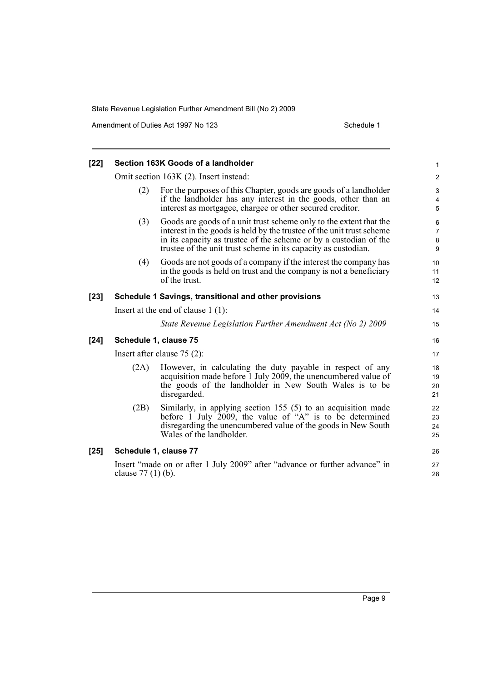Amendment of Duties Act 1997 No 123 Schedule 1

| $[22]$ |                     | Section 163K Goods of a landholder                                                                                                                                                                                                                                                 | $\mathbf{1}$                  |
|--------|---------------------|------------------------------------------------------------------------------------------------------------------------------------------------------------------------------------------------------------------------------------------------------------------------------------|-------------------------------|
|        |                     | Omit section 163K (2). Insert instead:                                                                                                                                                                                                                                             | $\overline{c}$                |
|        | (2)                 | For the purposes of this Chapter, goods are goods of a landholder<br>if the landholder has any interest in the goods, other than an<br>interest as mortgagee, chargee or other secured creditor.                                                                                   | 3<br>4<br>5                   |
|        | (3)                 | Goods are goods of a unit trust scheme only to the extent that the<br>interest in the goods is held by the trustee of the unit trust scheme<br>in its capacity as trustee of the scheme or by a custodian of the<br>trustee of the unit trust scheme in its capacity as custodian. | 6<br>$\overline{7}$<br>8<br>9 |
|        | (4)                 | Goods are not goods of a company if the interest the company has<br>in the goods is held on trust and the company is not a beneficiary<br>of the trust.                                                                                                                            | 10<br>11<br>12                |
| $[23]$ |                     | Schedule 1 Savings, transitional and other provisions                                                                                                                                                                                                                              | 13                            |
|        |                     | Insert at the end of clause $1(1)$ :                                                                                                                                                                                                                                               | 14                            |
|        |                     | State Revenue Legislation Further Amendment Act (No 2) 2009                                                                                                                                                                                                                        | 15                            |
| $[24]$ |                     | Schedule 1, clause 75                                                                                                                                                                                                                                                              | 16                            |
|        |                     | Insert after clause $75(2)$ :                                                                                                                                                                                                                                                      | 17                            |
|        | (2A)                | However, in calculating the duty payable in respect of any<br>acquisition made before 1 July 2009, the unencumbered value of<br>the goods of the landholder in New South Wales is to be<br>disregarded.                                                                            | 18<br>19<br>20<br>21          |
|        | (2B)                | Similarly, in applying section 155 (5) to an acquisition made<br>before 1 July 2009, the value of "A" is to be determined<br>disregarding the unencumbered value of the goods in New South<br>Wales of the landholder.                                                             | 22<br>23<br>24<br>25          |
| $[25]$ |                     | Schedule 1, clause 77                                                                                                                                                                                                                                                              | 26                            |
|        | clause $77(1)$ (b). | Insert "made on or after 1 July 2009" after "advance or further advance" in                                                                                                                                                                                                        | 27<br>28                      |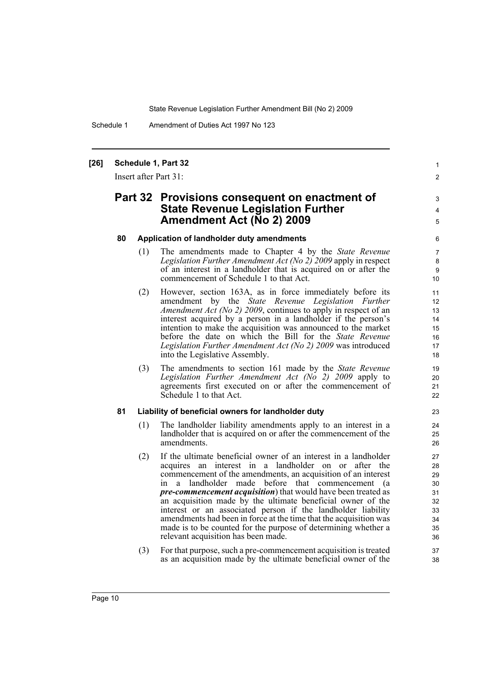Schedule 1 Amendment of Duties Act 1997 No 123

#### **[26] Schedule 1, Part 32**

Insert after Part 31:

### **Part 32 Provisions consequent on enactment of State Revenue Legislation Further Amendment Act (No 2) 2009**

#### **80 Application of landholder duty amendments**

(1) The amendments made to Chapter 4 by the *State Revenue Legislation Further Amendment Act (No 2) 2009* apply in respect of an interest in a landholder that is acquired on or after the commencement of Schedule 1 to that Act.

1  $\mathfrak{p}$ 

3 4 5

- (2) However, section 163A, as in force immediately before its amendment by the *State Revenue Legislation Further Amendment Act (No 2) 2009*, continues to apply in respect of an interest acquired by a person in a landholder if the person's intention to make the acquisition was announced to the market before the date on which the Bill for the *State Revenue Legislation Further Amendment Act (No 2) 2009* was introduced into the Legislative Assembly.
- (3) The amendments to section 161 made by the *State Revenue Legislation Further Amendment Act (No 2) 2009* apply to agreements first executed on or after the commencement of Schedule 1 to that Act.

#### **81 Liability of beneficial owners for landholder duty**

- (1) The landholder liability amendments apply to an interest in a landholder that is acquired on or after the commencement of the amendments.
- (2) If the ultimate beneficial owner of an interest in a landholder acquires an interest in a landholder on or after the commencement of the amendments, an acquisition of an interest in a landholder made before that commencement (a *pre-commencement acquisition*) that would have been treated as an acquisition made by the ultimate beneficial owner of the interest or an associated person if the landholder liability amendments had been in force at the time that the acquisition was made is to be counted for the purpose of determining whether a relevant acquisition has been made.
- (3) For that purpose, such a pre-commencement acquisition is treated as an acquisition made by the ultimate beneficial owner of the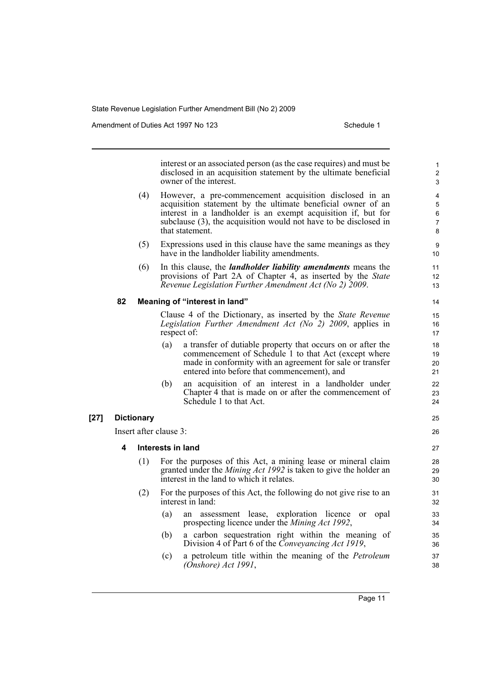Amendment of Duties Act 1997 No 123 Schedule 1

interest or an associated person (as the case requires) and must be disclosed in an acquisition statement by the ultimate beneficial owner of the interest.

- (4) However, a pre-commencement acquisition disclosed in an acquisition statement by the ultimate beneficial owner of an interest in a landholder is an exempt acquisition if, but for subclause (3), the acquisition would not have to be disclosed in that statement.
- (5) Expressions used in this clause have the same meanings as they have in the landholder liability amendments.
- (6) In this clause, the *landholder liability amendments* means the provisions of Part 2A of Chapter 4, as inserted by the *State Revenue Legislation Further Amendment Act (No 2) 2009*.

#### **82 Meaning of "interest in land"**

Clause 4 of the Dictionary, as inserted by the *State Revenue Legislation Further Amendment Act (No 2) 2009*, applies in respect of:

- (a) a transfer of dutiable property that occurs on or after the commencement of Schedule 1 to that Act (except where made in conformity with an agreement for sale or transfer entered into before that commencement), and
- (b) an acquisition of an interest in a landholder under Chapter 4 that is made on or after the commencement of Schedule 1 to that Act.

#### **[27] Dictionary**

Insert after clause 3:

- **4 Interests in land**
	- (1) For the purposes of this Act, a mining lease or mineral claim granted under the *Mining Act 1992* is taken to give the holder an interest in the land to which it relates.
	- (2) For the purposes of this Act, the following do not give rise to an interest in land:
		- (a) an assessment lease, exploration licence or opal prospecting licence under the *Mining Act 1992*,
		- (b) a carbon sequestration right within the meaning of Division 4 of Part 6 of the *Conveyancing Act 1919*,
		- (c) a petroleum title within the meaning of the *Petroleum (Onshore) Act 1991*,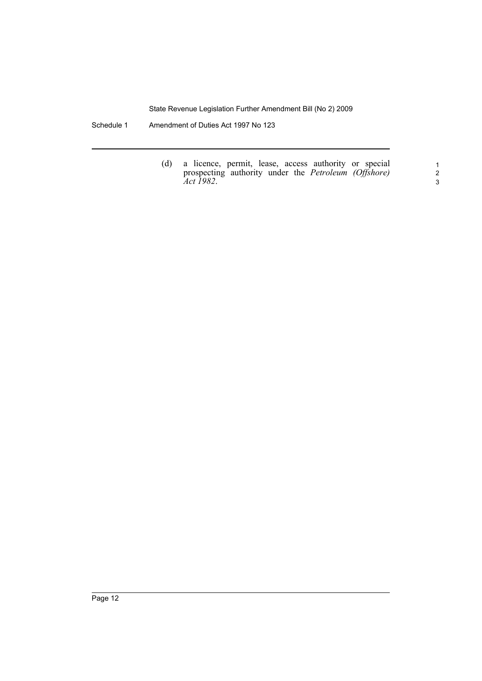Schedule 1 Amendment of Duties Act 1997 No 123

(d) a licence, permit, lease, access authority or special prospecting authority under the *Petroleum (Offshore) Act 1982*.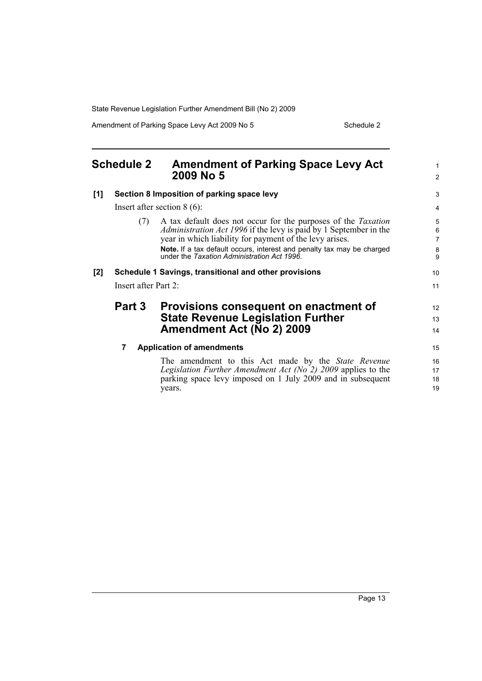Amendment of Parking Space Levy Act 2009 No 5 Schedule 2

<span id="page-22-0"></span>

| <b>Schedule 2</b> |                      | <b>Amendment of Parking Space Levy Act</b><br>2009 No 5                                                                                                                                                                                                                                                                              | 1<br>$\overline{2}$          |
|-------------------|----------------------|--------------------------------------------------------------------------------------------------------------------------------------------------------------------------------------------------------------------------------------------------------------------------------------------------------------------------------------|------------------------------|
| [1]               |                      | Section 8 Imposition of parking space levy                                                                                                                                                                                                                                                                                           | 3                            |
|                   |                      | Insert after section $8(6)$ :                                                                                                                                                                                                                                                                                                        | 4                            |
|                   | (7)                  | A tax default does not occur for the purposes of the <i>Taxation</i><br><i>Administration Act 1996</i> if the levy is paid by 1 September in the<br>year in which liability for payment of the levy arises.<br>Note. If a tax default occurs, interest and penalty tax may be charged<br>under the Taxation Administration Act 1996. | 5<br>6<br>7<br>$\frac{8}{9}$ |
| [2]               |                      | Schedule 1 Savings, transitional and other provisions                                                                                                                                                                                                                                                                                | 10                           |
|                   | Insert after Part 2: |                                                                                                                                                                                                                                                                                                                                      | 11                           |
|                   | Part 3               | Provisions consequent on enactment of<br><b>State Revenue Legislation Further</b><br><b>Amendment Act (No 2) 2009</b>                                                                                                                                                                                                                | 12<br>13<br>14               |
|                   | 7                    | <b>Application of amendments</b>                                                                                                                                                                                                                                                                                                     | 15                           |
|                   |                      | The amendment to this Act made by the <i>State Revenue</i><br>Legislation Further Amendment Act (No $2$ ) 2009 applies to the<br>parking space levy imposed on 1 July 2009 and in subsequent<br>years.                                                                                                                               | 16<br>17<br>18<br>19         |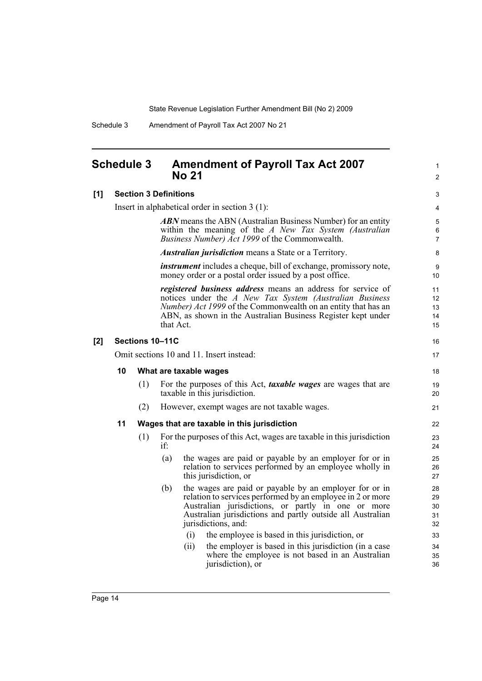1  $\mathfrak{p}$ 

Schedule 3 Amendment of Payroll Tax Act 2007 No 21

### <span id="page-23-0"></span>**Schedule 3 Amendment of Payroll Tax Act 2007 No 21**

#### **[1] Section 3 Definitions**

Insert in alphabetical order in section 3 (1): *ABN* means the ABN (Australian Business Number) for an entity within the meaning of the *A New Tax System (Australian Business Number) Act 1999* of the Commonwealth. *Australian jurisdiction* means a State or a Territory. *instrument* includes a cheque, bill of exchange, promissory note, money order or a postal order issued by a post office. *registered business address* means an address for service of notices under the *A New Tax System (Australian Business Number) Act 1999* of the Commonwealth on an entity that has an ABN, as shown in the Australian Business Register kept under that Act. **[2] Sections 10–11C** Omit sections 10 and 11. Insert instead: **10 What are taxable wages** (1) For the purposes of this Act, *taxable wages* are wages that are taxable in this jurisdiction. (2) However, exempt wages are not taxable wages. **11 Wages that are taxable in this jurisdiction** (1) For the purposes of this Act, wages are taxable in this jurisdiction if: (a) the wages are paid or payable by an employer for or in relation to services performed by an employee wholly in this jurisdiction, or (b) the wages are paid or payable by an employer for or in relation to services performed by an employee in 2 or more Australian jurisdictions, or partly in one or more Australian jurisdictions and partly outside all Australian jurisdictions, and: (i) the employee is based in this jurisdiction, or (ii) the employer is based in this jurisdiction (in a case where the employee is not based in an Australian jurisdiction), or 10 11 12 13 14 15 16 17 18 19  $20$ 21 22 23 24 25 26 27 28 29 30 31 32 33 34 35 36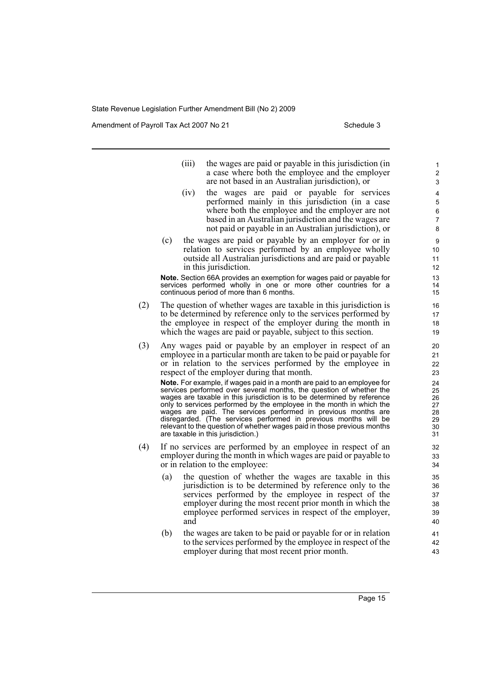Amendment of Payroll Tax Act 2007 No 21 Schedule 3

- (iii) the wages are paid or payable in this jurisdiction (in a case where both the employee and the employer are not based in an Australian jurisdiction), or
- (iv) the wages are paid or payable for services performed mainly in this jurisdiction (in a case where both the employee and the employer are not based in an Australian jurisdiction and the wages are not paid or payable in an Australian jurisdiction), or
- (c) the wages are paid or payable by an employer for or in relation to services performed by an employee wholly outside all Australian jurisdictions and are paid or payable in this jurisdiction.

**Note.** Section 66A provides an exemption for wages paid or payable for services performed wholly in one or more other countries for a continuous period of more than 6 months.

- (2) The question of whether wages are taxable in this jurisdiction is to be determined by reference only to the services performed by the employee in respect of the employer during the month in which the wages are paid or payable, subject to this section.
- (3) Any wages paid or payable by an employer in respect of an employee in a particular month are taken to be paid or payable for or in relation to the services performed by the employee in respect of the employer during that month.

**Note.** For example, if wages paid in a month are paid to an employee for services performed over several months, the question of whether the wages are taxable in this jurisdiction is to be determined by reference only to services performed by the employee in the month in which the wages are paid. The services performed in previous months are disregarded. (The services performed in previous months will be relevant to the question of whether wages paid in those previous months are taxable in this jurisdiction.)

- (4) If no services are performed by an employee in respect of an employer during the month in which wages are paid or payable to or in relation to the employee:
	- (a) the question of whether the wages are taxable in this jurisdiction is to be determined by reference only to the services performed by the employee in respect of the employer during the most recent prior month in which the employee performed services in respect of the employer, and
	- (b) the wages are taken to be paid or payable for or in relation to the services performed by the employee in respect of the employer during that most recent prior month.

Page 15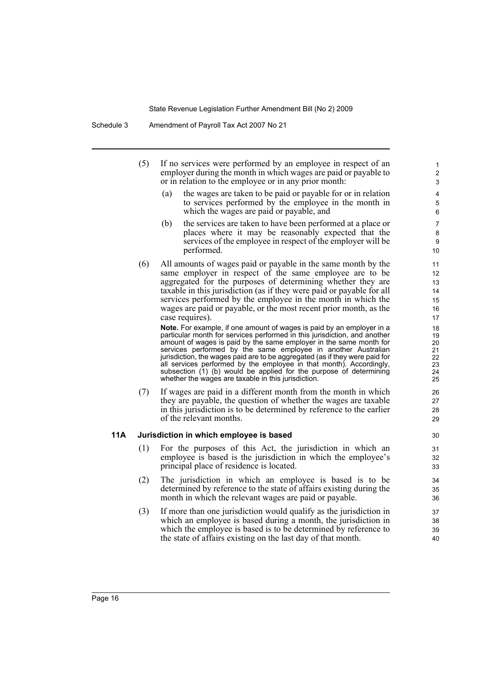- (5) If no services were performed by an employee in respect of an employer during the month in which wages are paid or payable to or in relation to the employee or in any prior month:
	- (a) the wages are taken to be paid or payable for or in relation to services performed by the employee in the month in which the wages are paid or payable, and

- (b) the services are taken to have been performed at a place or places where it may be reasonably expected that the services of the employee in respect of the employer will be performed.
- (6) All amounts of wages paid or payable in the same month by the same employer in respect of the same employee are to be aggregated for the purposes of determining whether they are taxable in this jurisdiction (as if they were paid or payable for all services performed by the employee in the month in which the wages are paid or payable, or the most recent prior month, as the case requires).

**Note.** For example, if one amount of wages is paid by an employer in a particular month for services performed in this jurisdiction, and another amount of wages is paid by the same employer in the same month for services performed by the same employee in another Australian jurisdiction, the wages paid are to be aggregated (as if they were paid for all services performed by the employee in that month). Accordingly, subsection (1) (b) would be applied for the purpose of determining whether the wages are taxable in this jurisdiction.

(7) If wages are paid in a different month from the month in which they are payable, the question of whether the wages are taxable in this jurisdiction is to be determined by reference to the earlier of the relevant months.

#### **11A Jurisdiction in which employee is based**

- (1) For the purposes of this Act, the jurisdiction in which an employee is based is the jurisdiction in which the employee's principal place of residence is located.
- (2) The jurisdiction in which an employee is based is to be determined by reference to the state of affairs existing during the month in which the relevant wages are paid or payable.
- (3) If more than one jurisdiction would qualify as the jurisdiction in which an employee is based during a month, the jurisdiction in which the employee is based is to be determined by reference to the state of affairs existing on the last day of that month.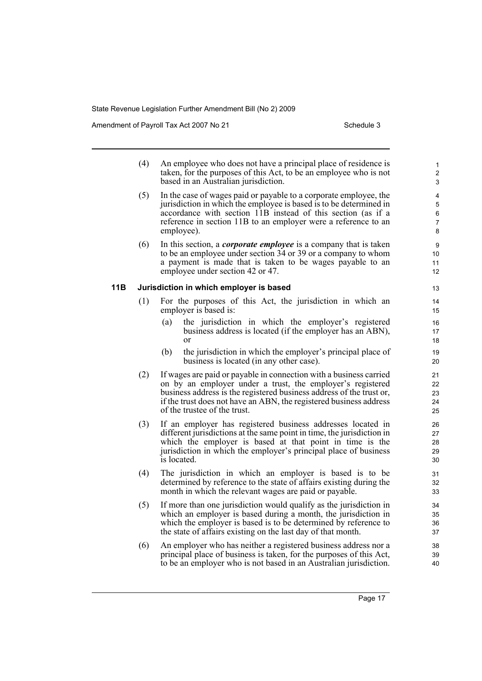Amendment of Payroll Tax Act 2007 No 21 Schedule 3

|     | (4) | An employee who does not have a principal place of residence is<br>taken, for the purposes of this Act, to be an employee who is not<br>based in an Australian jurisdiction.                                                                                                                                   | $\mathbf{1}$<br>$\overline{2}$<br>3 |
|-----|-----|----------------------------------------------------------------------------------------------------------------------------------------------------------------------------------------------------------------------------------------------------------------------------------------------------------------|-------------------------------------|
|     | (5) | In the case of wages paid or payable to a corporate employee, the<br>jurisdiction in which the employee is based is to be determined in<br>accordance with section 11B instead of this section (as if a<br>reference in section 11B to an employer were a reference to an<br>employee).                        | 4<br>5<br>6<br>$\overline{7}$<br>8  |
|     | (6) | In this section, a <i>corporate employee</i> is a company that is taken<br>to be an employee under section 34 or 39 or a company to whom<br>a payment is made that is taken to be wages payable to an<br>employee under section 42 or 47.                                                                      | 9<br>10<br>11<br>12                 |
| 11B |     | Jurisdiction in which employer is based                                                                                                                                                                                                                                                                        | 13                                  |
|     | (1) | For the purposes of this Act, the jurisdiction in which an<br>employer is based is:                                                                                                                                                                                                                            | 14<br>15                            |
|     |     | the jurisdiction in which the employer's registered<br>(a)<br>business address is located (if the employer has an ABN),<br>$\alpha$                                                                                                                                                                            | 16<br>17<br>18                      |
|     |     | the jurisdiction in which the employer's principal place of<br>(b)<br>business is located (in any other case).                                                                                                                                                                                                 | 19<br>20                            |
|     | (2) | If wages are paid or payable in connection with a business carried<br>on by an employer under a trust, the employer's registered<br>business address is the registered business address of the trust or,<br>if the trust does not have an ABN, the registered business address<br>of the trustee of the trust. | 21<br>22<br>23<br>24<br>25          |
|     | (3) | If an employer has registered business addresses located in<br>different jurisdictions at the same point in time, the jurisdiction in<br>which the employer is based at that point in time is the<br>jurisdiction in which the employer's principal place of business<br>is located.                           | 26<br>27<br>28<br>29<br>30          |
|     | (4) | The jurisdiction in which an employer is based is to be<br>determined by reference to the state of affairs existing during the<br>month in which the relevant wages are paid or payable.                                                                                                                       | 31<br>32<br>33                      |
|     | (5) | If more than one jurisdiction would qualify as the jurisdiction in<br>which an employer is based during a month, the jurisdiction in<br>which the employer is based is to be determined by reference to<br>the state of affairs existing on the last day of that month.                                        | 34<br>35<br>36<br>37                |
|     | (6) | An employer who has neither a registered business address nor a                                                                                                                                                                                                                                                | 38                                  |

(6) An employer who has neither a registered business address nor a principal place of business is taken, for the purposes of this Act, to be an employer who is not based in an Australian jurisdiction.

39 40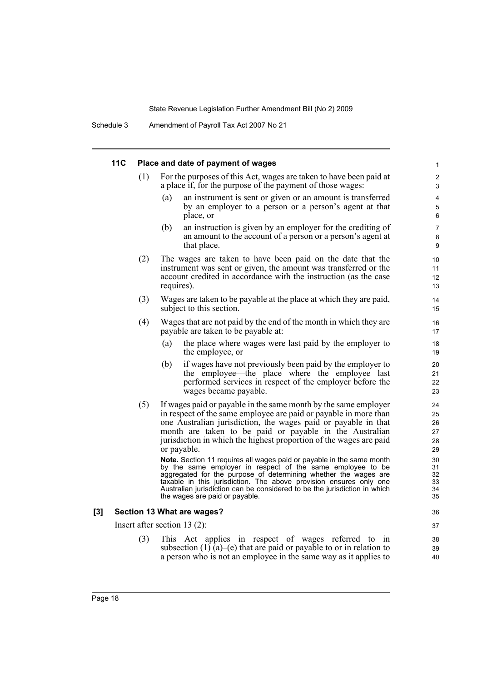|     | <b>11C</b> | Place and date of payment of wages |                                                                                                                                                                                                                                                                                                                                                                                                                                                                                              |                                              |
|-----|------------|------------------------------------|----------------------------------------------------------------------------------------------------------------------------------------------------------------------------------------------------------------------------------------------------------------------------------------------------------------------------------------------------------------------------------------------------------------------------------------------------------------------------------------------|----------------------------------------------|
|     |            | (1)                                | For the purposes of this Act, wages are taken to have been paid at<br>a place if, for the purpose of the payment of those wages:                                                                                                                                                                                                                                                                                                                                                             | 2<br>3                                       |
|     |            |                                    | (a)<br>an instrument is sent or given or an amount is transferred<br>by an employer to a person or a person's agent at that<br>place, or                                                                                                                                                                                                                                                                                                                                                     | 4<br>5<br>6                                  |
|     |            |                                    | (b)<br>an instruction is given by an employer for the crediting of<br>an amount to the account of a person or a person's agent at<br>that place.                                                                                                                                                                                                                                                                                                                                             | $\overline{7}$<br>8<br>9                     |
|     |            | (2)                                | The wages are taken to have been paid on the date that the<br>instrument was sent or given, the amount was transferred or the<br>account credited in accordance with the instruction (as the case<br>requires).                                                                                                                                                                                                                                                                              | 10<br>11<br>12<br>13                         |
|     |            | (3)                                | Wages are taken to be payable at the place at which they are paid,<br>subject to this section.                                                                                                                                                                                                                                                                                                                                                                                               | 14<br>15                                     |
|     |            | (4)                                | Wages that are not paid by the end of the month in which they are<br>payable are taken to be payable at:                                                                                                                                                                                                                                                                                                                                                                                     | 16<br>17                                     |
|     |            |                                    | (a)<br>the place where wages were last paid by the employer to<br>the employee, or                                                                                                                                                                                                                                                                                                                                                                                                           | 18<br>19                                     |
|     |            |                                    | if wages have not previously been paid by the employer to<br>(b)<br>the employee—the place where the employee last<br>performed services in respect of the employer before the<br>wages became payable.                                                                                                                                                                                                                                                                                      | 20<br>21<br>22<br>23                         |
|     |            | (5)                                | If wages paid or payable in the same month by the same employer<br>in respect of the same employee are paid or payable in more than<br>one Australian jurisdiction, the wages paid or payable in that<br>month are taken to be paid or payable in the Australian<br>jurisdiction in which the highest proportion of the wages are paid<br>or payable.<br>Note. Section 11 requires all wages paid or payable in the same month<br>by the same employer in respect of the same employee to be | 24<br>25<br>26<br>27<br>28<br>29<br>30<br>31 |
|     |            |                                    | aggregated for the purpose of determining whether the wages are<br>taxable in this jurisdiction. The above provision ensures only one<br>Australian jurisdiction can be considered to be the jurisdiction in which<br>the wages are paid or payable.                                                                                                                                                                                                                                         | 32<br>33<br>34<br>35                         |
| [3] |            |                                    | Section 13 What are wages?                                                                                                                                                                                                                                                                                                                                                                                                                                                                   | 36                                           |
|     |            |                                    | Insert after section $13(2)$ :                                                                                                                                                                                                                                                                                                                                                                                                                                                               | 37                                           |
|     |            | (3)                                | This Act applies in respect of wages referred to in<br>subsection $(1)$ (a)–(e) that are paid or payable to or in relation to<br>a person who is not an employee in the same way as it applies to                                                                                                                                                                                                                                                                                            | 38<br>39<br>40                               |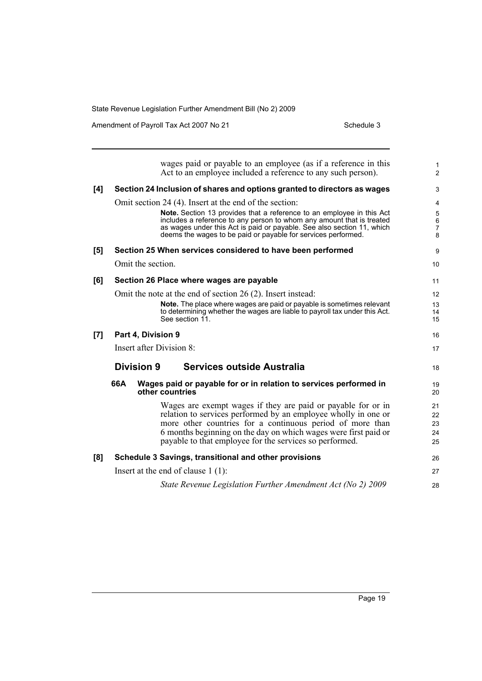Amendment of Payroll Tax Act 2007 No 21 Schedule 3

|     | wages paid or payable to an employee (as if a reference in this<br>Act to an employee included a reference to any such person).                     | $\mathbf{1}$<br>$\overline{c}$ |
|-----|-----------------------------------------------------------------------------------------------------------------------------------------------------|--------------------------------|
| [4] | Section 24 Inclusion of shares and options granted to directors as wages                                                                            | 3                              |
|     | Omit section 24 (4). Insert at the end of the section:                                                                                              | 4                              |
|     | Note. Section 13 provides that a reference to an employee in this Act<br>includes a reference to any person to whom any amount that is treated      | $\mathbf 5$<br>$\,6\,$         |
|     | as wages under this Act is paid or payable. See also section 11, which<br>deems the wages to be paid or payable for services performed.             | $\overline{7}$<br>8            |
| [5] | Section 25 When services considered to have been performed                                                                                          | 9                              |
|     | Omit the section.                                                                                                                                   | 10                             |
| [6] | Section 26 Place where wages are payable                                                                                                            | 11                             |
|     | Omit the note at the end of section 26 (2). Insert instead:                                                                                         | 12                             |
|     | Note. The place where wages are paid or payable is sometimes relevant<br>to determining whether the wages are liable to payroll tax under this Act. | 13<br>14                       |
|     | See section 11.                                                                                                                                     | 15                             |
| [7] | Part 4, Division 9                                                                                                                                  | 16                             |
|     | Insert after Division 8:                                                                                                                            | 17                             |
|     | <b>Division 9</b><br>Services outside Australia                                                                                                     | 18                             |
|     | 66A<br>Wages paid or payable for or in relation to services performed in<br>other countries                                                         | 19<br>20                       |
|     | Wages are exempt wages if they are paid or payable for or in                                                                                        | 21                             |
|     | relation to services performed by an employee wholly in one or<br>more other countries for a continuous period of more than                         | 22<br>23                       |
|     | 6 months beginning on the day on which wages were first paid or                                                                                     | 24                             |
|     | payable to that employee for the services so performed.                                                                                             | 25                             |
| [8] | Schedule 3 Savings, transitional and other provisions                                                                                               | 26                             |
|     | Insert at the end of clause $1(1)$ :                                                                                                                | 27                             |
|     | State Revenue Legislation Further Amendment Act (No 2) 2009                                                                                         | 28                             |